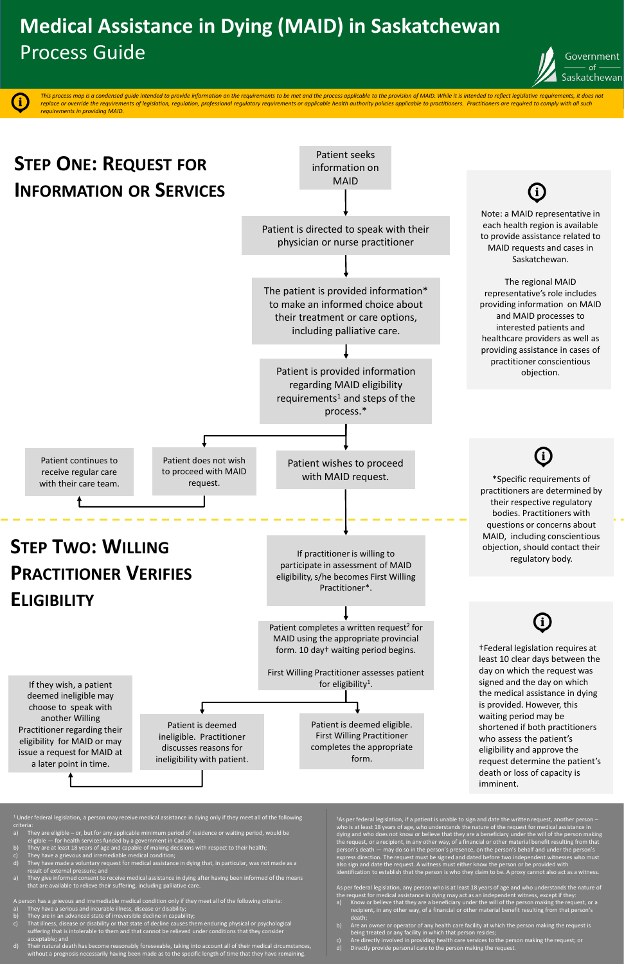# **Medical Assistance in Dying (MAID) in Saskatchewan** Process Guide



 $1$  Under federal legislation, a person may receive medical assistance in dying only if they meet all of the following criteria:

Patient is deemed ineligible. Practitioner discusses reasons for ineligibility with patient.

- a) They are eligible or, but for any applicable minimum period of residence or waiting period, would be eligible — for health services funded by a government in Canada;
- b) They are at least 18 years of age and capable of making decisions with respect to their health;
- c) They have a grievous and irremediable medical condition;
- d) They have made a voluntary request for medical assistance in dying that, in particular, was not made as a result of external pressure; and
- a) They give informed consent to receive medical assistance in dying after having been informed of the means that are available to relieve their suffering, including palliative care.



A person has a grievous and irremediable medical condition only if they meet all of the following criteria:

 $2$ As per federal legislation, if a patient is unable to sign and date the written request, another person who is at least 18 years of age, who understands the nature of the request for medical assistance in dying and who does not know or believe that they are a beneficiary under the will of the person making the request, or a recipient, in any other way, of a financial or other material benefit resulting from that person's death — may do so in the person's presence, on the person's behalf and under the person's express direction. The request must be signed and dated before two independent witnesses who must also sign and date the request. A witness must either know the person or be provided with identification to establish that the person is who they claim to be. A proxy cannot also act as a witness.

- a) They have a serious and incurable illness, disease or disability;
- b) They are in an advanced state of irreversible decline in capability;
- c) That illness, disease or disability or that state of decline causes them enduring physical or psychological suffering that is intolerable to them and that cannot be relieved under conditions that they consider acceptable; and
- d) Their natural death has become reasonably foreseeable, taking into account all of their medical circumstances, without a prognosis necessarily having been made as to the specific length of time that they have remaining.

This process map is a condensed guide intended to provide information on the requirements to be met and the process applicable to the provision of MAID. While it is intended to reflect legislative requirements, it does not replace or override the requirements of legislation, regulation, professional regulatory requirements or applicable health authority policies applicable to practitioners. Practitioners are required to comply with all such *requirements in providing MAID.*

> waiting period may be shortened if both practitioners who assess the patient's eligibility and approve the request determine the patient's death or loss of capacity is imminent.

another Willing Practitioner regarding their eligibility for MAID or may issue a request for MAID at a later point in time.

<u>(i)</u>

Patient is deemed eligible. First Willing Practitioner completes the appropriate form.

> As per federal legislation, any person who is at least 18 years of age and who understands the nature of the request for medical assistance in dying may act as an independent witness, except if they:

- a) Know or believe that they are a beneficiary under the will of the person making the request, or a recipient, in any other way, of a financial or other material benefit resulting from that person's death;
- b) Are an owner or operator of any health care facility at which the person making the request is being treated or any facility in which that person resides;
- c) Are directly involved in providing health care services to the person making the request; or
- d) Directly provide personal care to the person making the request.